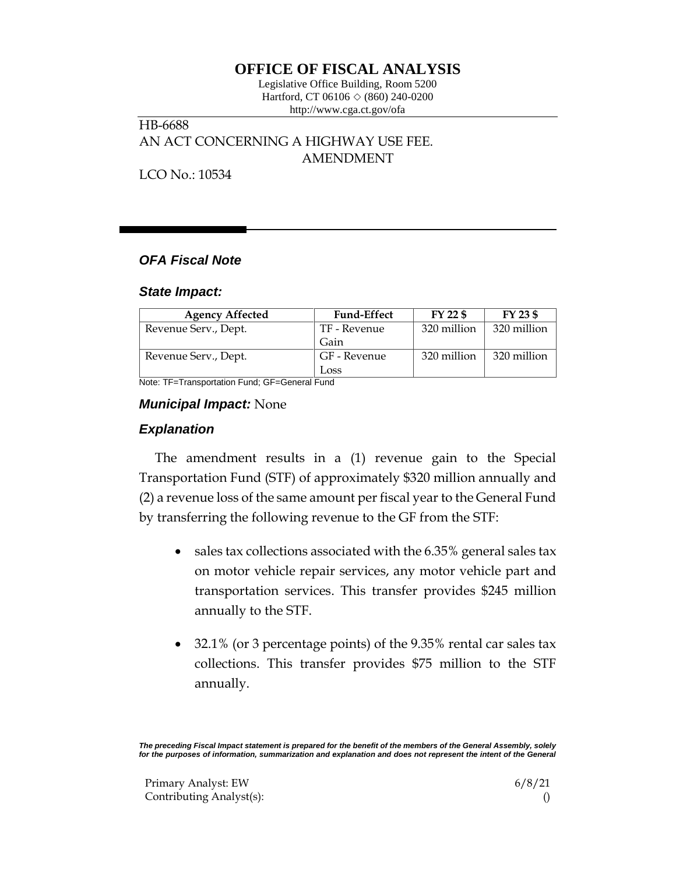# **OFFICE OF FISCAL ANALYSIS**

Legislative Office Building, Room 5200 Hartford, CT 06106  $\Diamond$  (860) 240-0200 http://www.cga.ct.gov/ofa

HB-6688 AN ACT CONCERNING A HIGHWAY USE FEE. AMENDMENT

LCO No.: 10534

## *OFA Fiscal Note*

### *State Impact:*

| <b>Agency Affected</b> | <b>Fund-Effect</b> | FY 22 \$    | FY 23 \$    |
|------------------------|--------------------|-------------|-------------|
| Revenue Serv., Dept.   | TF - Revenue       | 320 million | 320 million |
|                        | Gain               |             |             |
| Revenue Serv., Dept.   | GF - Revenue       | 320 million | 320 million |
|                        | Loss               |             |             |

Note: TF=Transportation Fund; GF=General Fund

### *Municipal Impact:* None

### *Explanation*

The amendment results in a (1) revenue gain to the Special Transportation Fund (STF) of approximately \$320 million annually and (2) a revenue loss of the same amount per fiscal year to the General Fund by transferring the following revenue to the GF from the STF:

- sales tax collections associated with the 6.35% general sales tax on motor vehicle repair services, any motor vehicle part and transportation services. This transfer provides \$245 million annually to the STF.
- 32.1% (or 3 percentage points) of the 9.35% rental car sales tax collections. This transfer provides \$75 million to the STF annually.

*The preceding Fiscal Impact statement is prepared for the benefit of the members of the General Assembly, solely*  for the purposes of information, summarization and explanation and does not represent the intent of the General